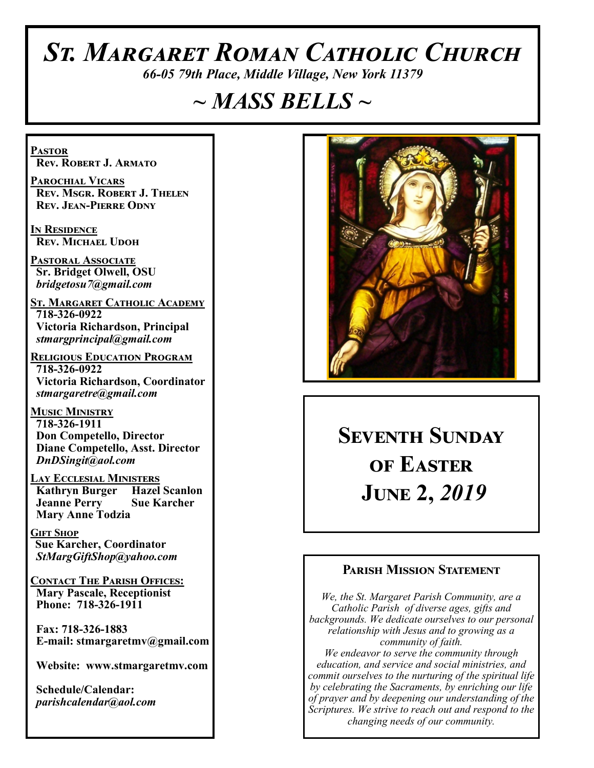# *St. Margaret Roman Catholic Church*

*66-05 79th Place, Middle Village, New York 11379*

# *~ MASS BELLS ~*

**Pastor Rev. Robert J. Armato**

**Parochial Vicars Rev. Msgr. Robert J. Thelen Rev. Jean-Pierre Odny**

**In Residence Rev. Michael Udoh**

**Pastoral Associate Sr. Bridget Olwell, OSU**  *bridgetosu7@gmail.com*

**St. Margaret Catholic Academy 718-326-0922 Victoria Richardson, Principal**  *stmargprincipal@gmail.com*

**Religious Education Program 718-326-0922 Victoria Richardson, Coordinator** *stmargaretre@gmail.com*

**Music Ministry 718-326-1911 Don Competello, Director Diane Competello, Asst. Director** *DnDSingit@aol.com*

**Lay Ecclesial Ministers Kathryn Burger Jeanne Perry Sue Karcher Mary Anne Todzia**

**Gift Shop Sue Karcher, Coordinator** *StMargGiftShop@yahoo.com*

**Contact The Parish Offices: Mary Pascale, Receptionist Phone: 718-326-1911** 

 **Fax: 718-326-1883 E-mail: stmargaretmv@gmail.com**

 **Website: www.stmargaretmv.com**

 **Schedule/Calendar:** *parishcalendar@aol.com* 



**Seventh Sunday of Easter June 2,** *2019* 

#### **Parish Mission Statement**

*We, the St. Margaret Parish Community, are a Catholic Parish of diverse ages, gifts and backgrounds. We dedicate ourselves to our personal relationship with Jesus and to growing as a community of faith. We endeavor to serve the community through education, and service and social ministries, and commit ourselves to the nurturing of the spiritual life by celebrating the Sacraments, by enriching our life of prayer and by deepening our understanding of the Scriptures. We strive to reach out and respond to the changing needs of our community.*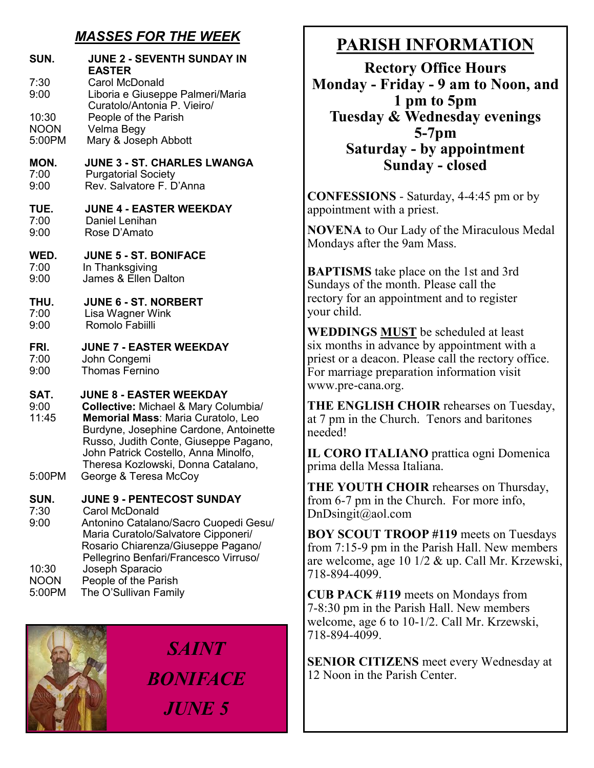### *MASSES FOR THE WEEK*

| SUN.                            | <b>JUNE 2 - SEVENTH SUNDAY IN</b><br><b>EASTER</b>                                                                                                                                                                                                                                                                |
|---------------------------------|-------------------------------------------------------------------------------------------------------------------------------------------------------------------------------------------------------------------------------------------------------------------------------------------------------------------|
| 7:30<br>9:00                    | <b>Carol McDonald</b><br>Liboria e Giuseppe Palmeri/Maria<br>Curatolo/Antonia P. Vieiro/                                                                                                                                                                                                                          |
| 10:30                           | People of the Parish                                                                                                                                                                                                                                                                                              |
| <b>NOON</b>                     | Velma Begy                                                                                                                                                                                                                                                                                                        |
| 5:00PM                          | Mary & Joseph Abbott                                                                                                                                                                                                                                                                                              |
| MON.                            | <b>JUNE 3 - ST. CHARLES LWANGA</b>                                                                                                                                                                                                                                                                                |
| 7:00                            | <b>Purgatorial Society</b>                                                                                                                                                                                                                                                                                        |
| 9:00                            | Rev. Salvatore F. D'Anna                                                                                                                                                                                                                                                                                          |
| TUE.                            | <b>JUNE 4 - EASTER WEEKDAY</b>                                                                                                                                                                                                                                                                                    |
| 7:00                            | Daniel Lenihan                                                                                                                                                                                                                                                                                                    |
| 9:00                            | Rose D'Amato                                                                                                                                                                                                                                                                                                      |
| WED.                            | <b>JUNE 5 - ST. BONIFACE</b>                                                                                                                                                                                                                                                                                      |
| 7:00                            | In Thanksgiving                                                                                                                                                                                                                                                                                                   |
| 9:00                            | James & Ellen Dalton                                                                                                                                                                                                                                                                                              |
| THU.                            | <b>JUNE 6 - ST. NORBERT</b>                                                                                                                                                                                                                                                                                       |
| 7:00                            | Lisa Wagner Wink                                                                                                                                                                                                                                                                                                  |
| 9:00                            | Romolo Fabiilli                                                                                                                                                                                                                                                                                                   |
| FRI.                            | <b>JUNE 7 - EASTER WEEKDAY</b>                                                                                                                                                                                                                                                                                    |
| 7:00                            | John Congemi                                                                                                                                                                                                                                                                                                      |
| 9:00                            | Thomas Fernino                                                                                                                                                                                                                                                                                                    |
| SAT.<br>9:00<br>11:45<br>5:00PM | <b>JUNE 8 - EASTER WEEKDAY</b><br><b>Collective: Michael &amp; Mary Columbia/</b><br>Memorial Mass: Maria Curatolo, Leo<br>Burdyne, Josephine Cardone, Antoinette<br>Russo, Judith Conte, Giuseppe Pagano,<br>John Patrick Costello, Anna Minolfo,<br>Theresa Kozlowski, Donna Catalano,<br>George & Teresa McCoy |
| SUN.<br>7:30<br>9:00            | <b>JUNE 9 - PENTECOST SUNDAY</b><br><b>Carol McDonald</b><br>Antonino Catalano/Sacro Cuopedi Gesu/<br>Maria Curatolo/Salvatore Cipponeri/<br>Rosario Chiarenza/Giuseppe Pagano/<br>Pellegrino Benfari/Francesco Virruso/                                                                                          |
| 10:30                           | Joseph Sparacio                                                                                                                                                                                                                                                                                                   |
| <b>NOON</b>                     | People of the Parish                                                                                                                                                                                                                                                                                              |
| 5:00PM                          | The O'Sullivan Family                                                                                                                                                                                                                                                                                             |

*SAINT BONIFACE JUNE 5*

# **PARISH INFORMATION**

**Rectory Office Hours Monday - Friday - 9 am to Noon, and 1 pm to 5pm Tuesday & Wednesday evenings 5-7pm Saturday - by appointment Sunday - closed**

**CONFESSIONS** - Saturday, 4-4:45 pm or by appointment with a priest.

**NOVENA** to Our Lady of the Miraculous Medal Mondays after the 9am Mass.

**BAPTISMS** take place on the 1st and 3rd Sundays of the month. Please call the rectory for an appointment and to register your child.

**WEDDINGS MUST** be scheduled at least six months in advance by appointment with a priest or a deacon. Please call the rectory office. For marriage preparation information visit www.pre-cana.org.

**THE ENGLISH CHOIR** rehearses on Tuesday, at 7 pm in the Church. Tenors and baritones needed!

**IL CORO ITALIANO** prattica ogni Domenica prima della Messa Italiana.

**THE YOUTH CHOIR** rehearses on Thursday, from 6-7 pm in the Church. For more info, DnDsingit@aol.com

**BOY SCOUT TROOP #119** meets on Tuesdays from 7:15-9 pm in the Parish Hall. New members are welcome, age 10 1/2 & up. Call Mr. Krzewski, 718-894-4099.

**CUB PACK #119** meets on Mondays from 7-8:30 pm in the Parish Hall. New members welcome, age 6 to 10-1/2. Call Mr. Krzewski, 718-894-4099.

**SENIOR CITIZENS** meet every Wednesday at 12 Noon in the Parish Center.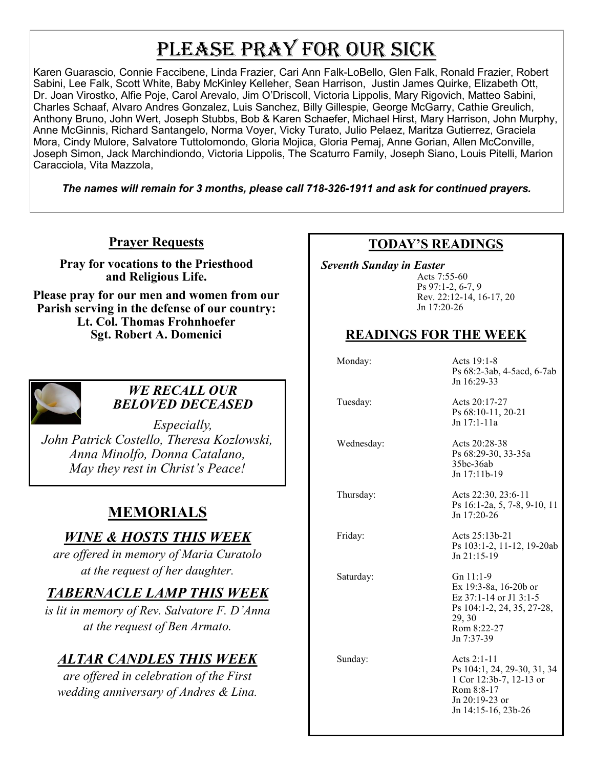# PLEASE PRAY FOR OUR SICK

Karen Guarascio, Connie Faccibene, Linda Frazier, Cari Ann Falk-LoBello, Glen Falk, Ronald Frazier, Robert Sabini, Lee Falk, Scott White, Baby McKinley Kelleher, Sean Harrison, Justin James Quirke, Elizabeth Ott, Dr. Joan Virostko, Alfie Poje, Carol Arevalo, Jim O'Driscoll, Victoria Lippolis, Mary Rigovich, Matteo Sabini, Charles Schaaf, Alvaro Andres Gonzalez, Luis Sanchez, Billy Gillespie, George McGarry, Cathie Greulich, Anthony Bruno, John Wert, Joseph Stubbs, Bob & Karen Schaefer, Michael Hirst, Mary Harrison, John Murphy, Anne McGinnis, Richard Santangelo, Norma Voyer, Vicky Turato, Julio Pelaez, Maritza Gutierrez, Graciela Mora, Cindy Mulore, Salvatore Tuttolomondo, Gloria Mojica, Gloria Pemaj, Anne Gorian, Allen McConville, Joseph Simon, Jack Marchindiondo, Victoria Lippolis, The Scaturro Family, Joseph Siano, Louis Pitelli, Marion Caracciola, Vita Mazzola,

*The names will remain for 3 months, please call 718-326-1911 and ask for continued prayers.*

### **Prayer Requests**

**Pray for vocations to the Priesthood and Religious Life.** 

**Please pray for our men and women from our Parish serving in the defense of our country: Lt. Col. Thomas Frohnhoefer Sgt. Robert A. Domenici** 



#### *WE RECALL OUR BELOVED DECEASED*

*Especially, John Patrick Costello, Theresa Kozlowski, Anna Minolfo, Donna Catalano, May they rest in Christ's Peace!*

### **MEMORIALS**

### *WINE & HOSTS THIS WEEK*

*are offered in memory of Maria Curatolo at the request of her daughter.*

### *TABERNACLE LAMP THIS WEEK*

*is lit in memory of Rev. Salvatore F. D'Anna at the request of Ben Armato.* 

### *ALTAR CANDLES THIS WEEK*

*are offered in celebration of the First wedding anniversary of Andres & Lina.*

### **TODAY'S READINGS**

 *Seventh Sunday in Easter*

Acts 7:55-60 Ps 97:1-2, 6-7, 9 Rev. 22:12-14, 16-17, 20 Jn 17:20-26

### **READINGS FOR THE WEEK**

Monday: Acts 19:1-8 Ps 68:2-3ab, 4-5acd, 6-7ab Jn 16:29-33

Tuesday: Acts 20:17-27

Ps 68:10-11, 20-21 Jn 17:1-11a

 Wednesday: Acts 20:28-38 Ps 68:29-30, 33-35a 35bc-36ab Jn 17:11b-19

 Thursday: Acts 22:30, 23:6-11 Ps 16:1-2a, 5, 7-8, 9-10, 11 Jn 17:20-26

 Friday: Acts 25:13b-21 Ps 103:1-2, 11-12, 19-20ab Jn 21:15-19

Saturday: Gn 11:1-9 Ex 19:3-8a, 16-20b or Ez 37:1-14 or J1 3:1-5 Ps 104:1-2, 24, 35, 27-28, 29, 30 Rom 8:22-27 Jn 7:37-39

Sunday: Acts 2:1-11 Ps 104:1, 24, 29-30, 31, 34 1 Cor 12:3b-7, 12-13 or Rom 8:8-17 Jn 20:19-23 or Jn 14:15-16, 23b-26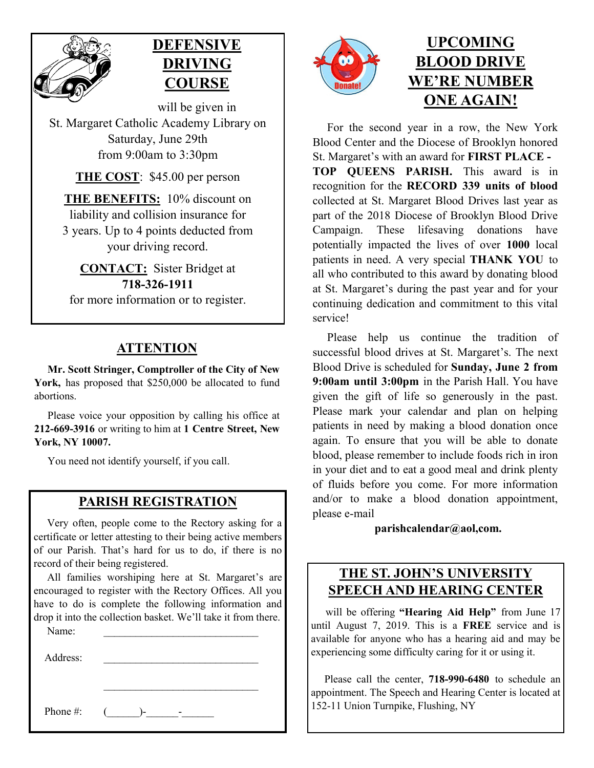



will be given in St. Margaret Catholic Academy Library on Saturday, June 29th from 9:00am to 3:30pm

**THE COST**: \$45.00 per person

**THE BENEFITS:** 10% discount on liability and collision insurance for 3 years. Up to 4 points deducted from your driving record.

**CONTACT:** Sister Bridget at **718-326-1911** for more information or to register.

### **ATTENTION**

 **Mr. Scott Stringer, Comptroller of the City of New**  York, has proposed that \$250,000 be allocated to fund abortions.

 Please voice your opposition by calling his office at **212-669-3916** or writing to him at **1 Centre Street, New York, NY 10007.**

You need not identify yourself, if you call.

#### **PARISH REGISTRATION**

 Very often, people come to the Rectory asking for a certificate or letter attesting to their being active members of our Parish. That's hard for us to do, if there is no record of their being registered.

 All families worshiping here at St. Margaret's are encouraged to register with the Rectory Offices. All you have to do is complete the following information and drop it into the collection basket. We'll take it from there.

\_\_\_\_\_\_\_\_\_\_\_\_\_\_\_\_\_\_\_\_\_\_\_\_\_\_\_\_\_

Name:

Address:

Phone #:  $(\_\_\_\_\_\$ 



# **UPCOMING BLOOD DRIVE WE'RE NUMBER ONE AGAIN!**

 For the second year in a row, the New York Blood Center and the Diocese of Brooklyn honored St. Margaret's with an award for **FIRST PLACE - TOP QUEENS PARISH.** This award is in recognition for the **RECORD 339 units of blood**  collected at St. Margaret Blood Drives last year as part of the 2018 Diocese of Brooklyn Blood Drive Campaign. These lifesaving donations have potentially impacted the lives of over **1000** local patients in need. A very special **THANK YOU** to all who contributed to this award by donating blood at St. Margaret's during the past year and for your continuing dedication and commitment to this vital service!

 Please help us continue the tradition of successful blood drives at St. Margaret's. The next Blood Drive is scheduled for **Sunday, June 2 from 9:00am until 3:00pm** in the Parish Hall. You have given the gift of life so generously in the past. Please mark your calendar and plan on helping patients in need by making a blood donation once again. To ensure that you will be able to donate blood, please remember to include foods rich in iron in your diet and to eat a good meal and drink plenty of fluids before you come. For more information and/or to make a blood donation appointment, please e-mail

**parishcalendar@aol,com.** 

### **THE ST. JOHN'S UNIVERSITY SPEECH AND HEARING CENTER**

 will be offering **"Hearing Aid Help"** from June 17 until August 7, 2019. This is a **FREE** service and is available for anyone who has a hearing aid and may be experiencing some difficulty caring for it or using it.

 Please call the center, **718-990-6480** to schedule an appointment. The Speech and Hearing Center is located at 152-11 Union Turnpike, Flushing, NY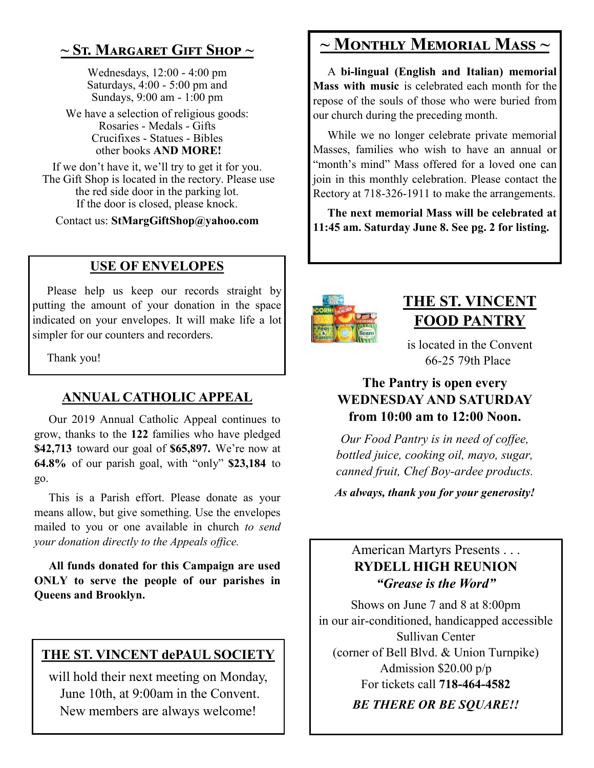### **~ St. Margaret Gift Shop ~**

Wednesdays, 12:00 - 4:00 pm Saturdays, 4:00 - 5:00 pm and Sundays, 9:00 am - 1:00 pm

We have a selection of religious goods: Rosaries - Medals - Gifts Crucifixes - Statues - Bibles other books **AND MORE!**

If we don't have it, we'll try to get it for you. The Gift Shop is located in the rectory. Please use the red side door in the parking lot. If the door is closed, please knock.

Contact us: **StMargGiftShop@yahoo.com**

### **USE OF ENVELOPES**

Please help us keep our records straight by putting the amount of your donation in the space indicated on your envelopes. It will make life a lot simpler for our counters and recorders.

Thank you!

### **ANNUAL CATHOLIC APPEAL**

 Our 2019 Annual Catholic Appeal continues to grow, thanks to the **122** families who have pledged **\$42,713** toward our goal of **\$65,897.** We're now at **64.8%** of our parish goal, with "only" **\$23,184** to go.

 This is a Parish effort. Please donate as your means allow, but give something. Use the envelopes mailed to you or one available in church *to send your donation directly to the Appeals office.* 

 **All funds donated for this Campaign are used ONLY to serve the people of our parishes in Queens and Brooklyn.**

### **THE ST. VINCENT dePAUL SOCIETY**

will hold their next meeting on Monday, June 10th, at 9:00am in the Convent. New members are always welcome!

## **~ Monthly Memorial Mass ~**

 A **bi-lingual (English and Italian) memorial Mass with music** is celebrated each month for the repose of the souls of those who were buried from our church during the preceding month.

 While we no longer celebrate private memorial Masses, families who wish to have an annual or "month's mind" Mass offered for a loved one can join in this monthly celebration. Please contact the Rectory at 718-326-1911 to make the arrangements.

 **The next memorial Mass will be celebrated at 11:45 am. Saturday June 8. See pg. 2 for listing.**



## **THE ST. VINCENT FOOD PANTRY**

is located in the Convent 66-25 79th Place

### **The Pantry is open every WEDNESDAY AND SATURDAY from 10:00 am to 12:00 Noon.**

*Our Food Pantry is in need of coffee, bottled juice, cooking oil, mayo, sugar, canned fruit, Chef Boy-ardee products.* 

*As always, thank you for your generosity!*

### American Martyrs Presents . . . **RYDELL HIGH REUNION** *"Grease is the Word"*

Shows on June 7 and 8 at 8:00pm in our air-conditioned, handicapped accessible Sullivan Center (corner of Bell Blvd. & Union Turnpike) Admission \$20.00 p/p For tickets call **718-464-4582** *BE THERE OR BE SQUARE!!*